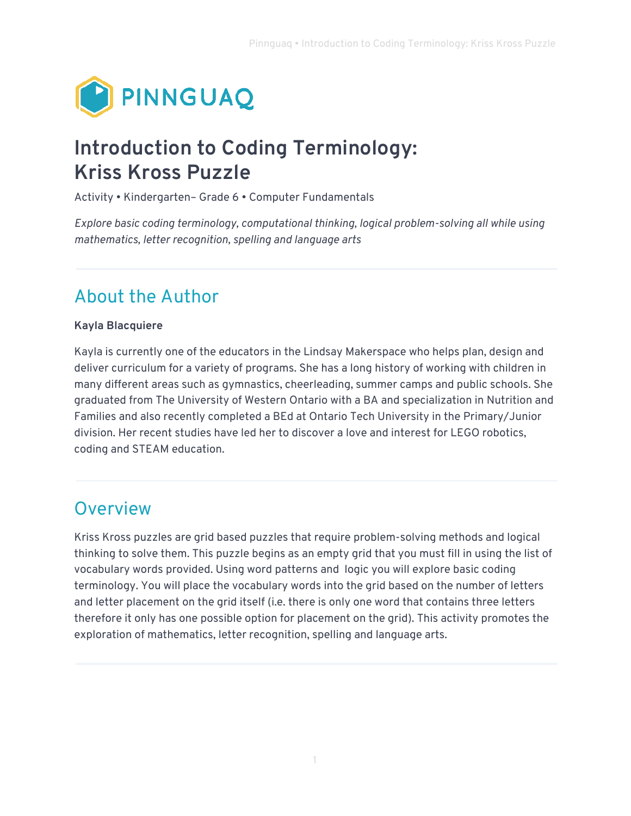

# **Introduction to Coding Terminology: Kriss Kross Puzzle**

Activity • Kindergarten– Grade 6 • Computer Fundamentals

*Explore basic coding terminology, computational thinking, logical problem-solving all while using mathematics, letter recognition, spelling and language arts* 

#### About the Author

#### **Kayla Blacquiere**

Kayla is currently one of the educators in the Lindsay Makerspace who helps plan, design and deliver curriculum for a variety of programs. She has a long history of working with children in many different areas such as gymnastics, cheerleading, summer camps and public schools. She graduated from The University of Western Ontario with a BA and specialization in Nutrition and Families and also recently completed a BEd at Ontario Tech University in the Primary/Junior division. Her recent studies have led her to discover a love and interest for LEGO robotics, coding and STEAM education.

#### **Overview**

Kriss Kross puzzles are grid based puzzles that require problem-solving methods and logical thinking to solve them. This puzzle begins as an empty grid that you must fill in using the list of vocabulary words provided. Using word patterns and logic you will explore basic coding terminology. You will place the vocabulary words into the grid based on the number of letters and letter placement on the grid itself (i.e. there is only one word that contains three letters therefore it only has one possible option for placement on the grid). This activity promotes the exploration of mathematics, letter recognition, spelling and language arts.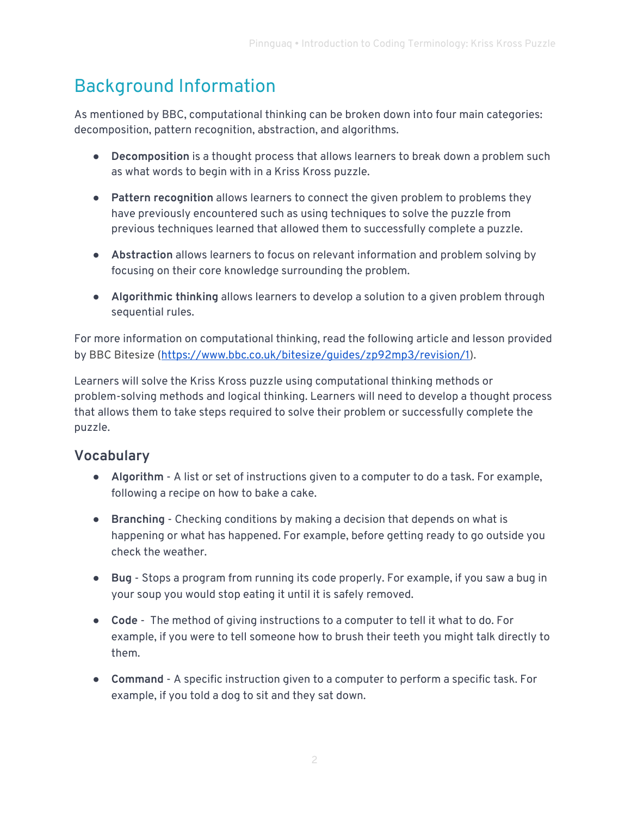# Background Information

As mentioned by BBC, computational thinking can be broken down into four main categories: decomposition, pattern recognition, abstraction, and algorithms.

- **Decomposition** is a thought process that allows learners to break down a problem such as what words to begin with in a Kriss Kross puzzle.
- **Pattern recognition** allows learners to connect the given problem to problems they have previously encountered such as using techniques to solve the puzzle from previous techniques learned that allowed them to successfully complete a puzzle.
- **Abstraction** allows learners to focus on relevant information and problem solving by focusing on their core knowledge surrounding the problem.
- **Algorithmic thinking** allows learners to develop a solution to a given problem through sequential rules.

For more information on computational thinking, read the following article and lesson provided by BBC Bitesize ([https://www.bbc.co.uk/bitesize/guides/zp92mp3/revision/1\)](https://www.bbc.co.uk/bitesize/guides/zp92mp3/revision/1).

Learners will solve the Kriss Kross puzzle using computational thinking methods or problem-solving methods and logical thinking. Learners will need to develop a thought process that allows them to take steps required to solve their problem or successfully complete the puzzle.

#### **Vocabulary**

- **Algorithm** A list or set of instructions given to a computer to do a task. For example, following a recipe on how to bake a cake.
- **Branching** Checking conditions by making a decision that depends on what is happening or what has happened. For example, before getting ready to go outside you check the weather.
- **Bug** Stops a program from running its code properly. For example, if you saw a bug in your soup you would stop eating it until it is safely removed.
- **Code** The method of giving instructions to a computer to tell it what to do. For example, if you were to tell someone how to brush their teeth you might talk directly to them.
- **Command** A specific instruction given to a computer to perform a specific task. For example, if you told a dog to sit and they sat down.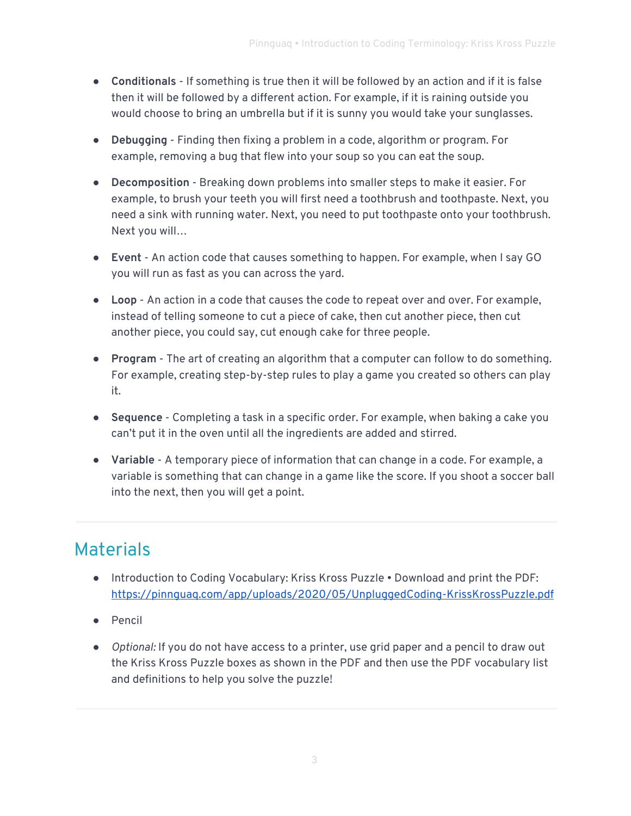- **Conditionals**  If something is true then it will be followed by an action and if it is false then it will be followed by a different action. For example, if it is raining outside you would choose to bring an umbrella but if it is sunny you would take your sunglasses.
- **Debugging** Finding then fixing a problem in a code, algorithm or program. For example, removing a bug that flew into your soup so you can eat the soup.
- **Decomposition** Breaking down problems into smaller steps to make it easier. For example, to brush your teeth you will first need a toothbrush and toothpaste. Next, you need a sink with running water. Next, you need to put toothpaste onto your toothbrush. Next you will…
- **Event** An action code that causes something to happen. For example, when I say GO you will run as fast as you can across the yard.
- **Loop** An action in a code that causes the code to repeat over and over. For example, instead of telling someone to cut a piece of cake, then cut another piece, then cut another piece, you could say, cut enough cake for three people.
- **Program** The art of creating an algorithm that a computer can follow to do something. For example, creating step-by-step rules to play a game you created so others can play it.
- **Sequence** Completing a task in a specific order. For example, when baking a cake you can't put it in the oven until all the ingredients are added and stirred.
- **Variable** A temporary piece of information that can change in a code. For example, a variable is something that can change in a game like the score. If you shoot a soccer ball into the next, then you will get a point.

# Materials

- Introduction to Coding Vocabulary: Kriss Kross Puzzle Download and print the PDF: <https://pinnguaq.com/app/uploads/2020/05/UnpluggedCoding-KrissKrossPuzzle.pdf>
- Pencil
- *Optional:* If you do not have access to a printer, use grid paper and a pencil to draw out the Kriss Kross Puzzle boxes as shown in the PDF and then use the PDF vocabulary list and definitions to help you solve the puzzle!